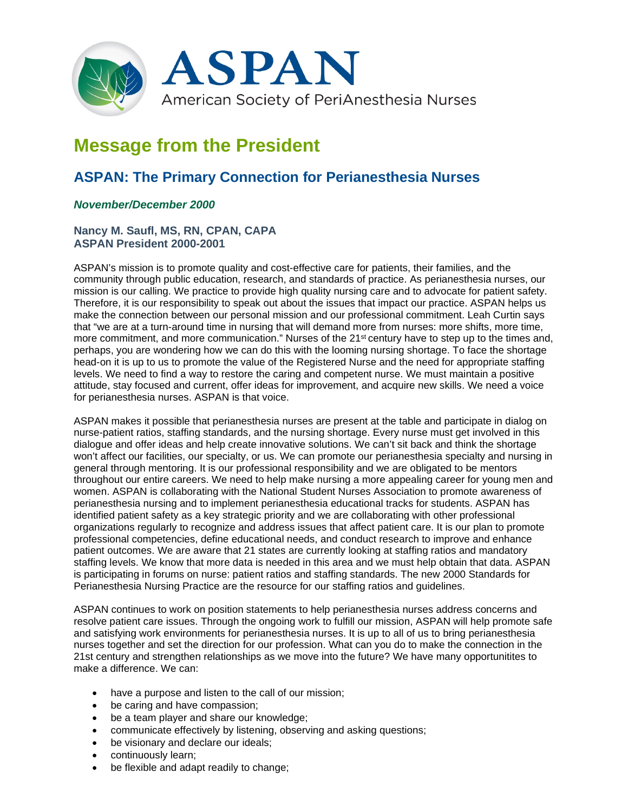

## **Message from the President**

## **ASPAN: The Primary Connection for Perianesthesia Nurses**

## *November/December 2000*

## **Nancy M. Saufl, MS, RN, CPAN, CAPA ASPAN President 2000-2001**

ASPAN's mission is to promote quality and cost-effective care for patients, their families, and the community through public education, research, and standards of practice. As perianesthesia nurses, our mission is our calling. We practice to provide high quality nursing care and to advocate for patient safety. Therefore, it is our responsibility to speak out about the issues that impact our practice. ASPAN helps us make the connection between our personal mission and our professional commitment. Leah Curtin says that "we are at a turn-around time in nursing that will demand more from nurses: more shifts, more time, more commitment, and more communication." Nurses of the 21<sup>st</sup> century have to step up to the times and, perhaps, you are wondering how we can do this with the looming nursing shortage. To face the shortage head-on it is up to us to promote the value of the Registered Nurse and the need for appropriate staffing levels. We need to find a way to restore the caring and competent nurse. We must maintain a positive attitude, stay focused and current, offer ideas for improvement, and acquire new skills. We need a voice for perianesthesia nurses. ASPAN is that voice.

ASPAN makes it possible that perianesthesia nurses are present at the table and participate in dialog on nurse-patient ratios, staffing standards, and the nursing shortage. Every nurse must get involved in this dialogue and offer ideas and help create innovative solutions. We can't sit back and think the shortage won't affect our facilities, our specialty, or us. We can promote our perianesthesia specialty and nursing in general through mentoring. It is our professional responsibility and we are obligated to be mentors throughout our entire careers. We need to help make nursing a more appealing career for young men and women. ASPAN is collaborating with the National Student Nurses Association to promote awareness of perianesthesia nursing and to implement perianesthesia educational tracks for students. ASPAN has identified patient safety as a key strategic priority and we are collaborating with other professional organizations regularly to recognize and address issues that affect patient care. It is our plan to promote professional competencies, define educational needs, and conduct research to improve and enhance patient outcomes. We are aware that 21 states are currently looking at staffing ratios and mandatory staffing levels. We know that more data is needed in this area and we must help obtain that data. ASPAN is participating in forums on nurse: patient ratios and staffing standards. The new 2000 Standards for Perianesthesia Nursing Practice are the resource for our staffing ratios and guidelines.

ASPAN continues to work on position statements to help perianesthesia nurses address concerns and resolve patient care issues. Through the ongoing work to fulfill our mission, ASPAN will help promote safe and satisfying work environments for perianesthesia nurses. It is up to all of us to bring perianesthesia nurses together and set the direction for our profession. What can you do to make the connection in the 21st century and strengthen relationships as we move into the future? We have many opportunitites to make a difference. We can:

- have a purpose and listen to the call of our mission;
- be caring and have compassion;
- be a team player and share our knowledge;
- communicate effectively by listening, observing and asking questions;
- be visionary and declare our ideals;
- continuously learn;
- be flexible and adapt readily to change;